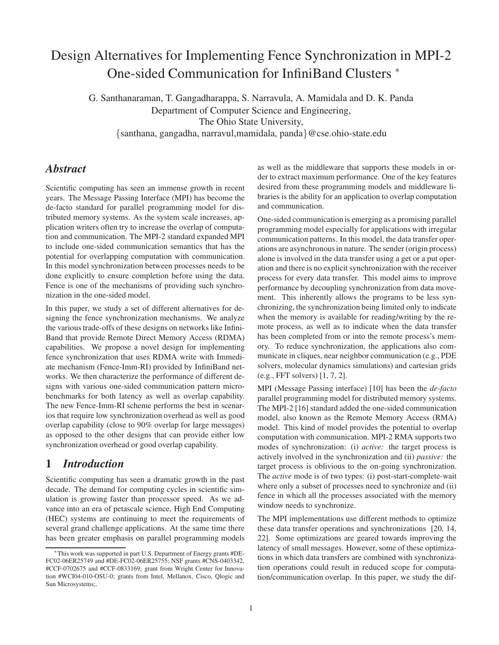# Design Alternatives for Implementing Fence Synchronization in MPI-2 One-sided Communication for InfiniBand Clusters <sup>∗</sup>

G. Santhanaraman, T. Gangadharappa, S. Narravula, A. Mamidala and D. K. Panda Department of Computer Science and Engineering, The Ohio State University, {santhana, gangadha, narravul,mamidala, panda}@cse.ohio-state.edu

# *Abstract*

Scientific computing has seen an immense growth in recent years. The Message Passing Interface (MPI) has become the de-facto standard for parallel programming model for distributed memory systems. As the system scale increases, application writers often try to increase the overlap of computation and communication. The MPI-2 standard expanded MPI to include one-sided communication semantics that has the potential for overlapping computation with communication. In this model synchronization between processes needs to be done explicitly to ensure completion before using the data. Fence is one of the mechanisms of providing such synchronization in the one-sided model.

In this paper, we study a set of different alternatives for designing the fence synchronization mechanisms. We analyze the various trade-offs of these designs on networks like Infini-Band that provide Remote Direct Memory Access (RDMA) capabilities. We propose a novel design for implementing fence synchronization that uses RDMA write with Immediate mechanism (Fence-Imm-RI) provided by InfiniBand networks. We then characterize the performance of different designs with various one-sided communication pattern microbenchmarks for both latency as well as overlap capability. The new Fence-Imm-RI scheme performs the best in scenarios that require low synchronization overhead as well as good overlap capability (close to 90% overlap for large messages) as opposed to the other designs that can provide either low synchronization overhead or good overlap capability.

# **1** *Introduction*

Scientific computing has seen a dramatic growth in the past decade. The demand for computing cycles in scientific simulation is growing faster than processor speed. As we advance into an era of petascale science, High End Computing (HEC) systems are continuing to meet the requirements of several grand challenge applications. At the same time there has been greater emphasis on parallel programming models

as well as the middleware that supports these models in order to extract maximum performance. One of the key features desired from these programming models and middleware libraries is the ability for an application to overlap computation and communication.

One-sided communication is emerging as a promising parallel programming model especially for applications with irregular communication patterns. In this model, the data transfer operations are asynchronous in nature. The sender (origin process) alone is involved in the data transfer using a get or a put operation and there is no explicit synchronization with the receiver process for every data transfer. This model aims to improve performance by decoupling synchronization from data movement. This inherently allows the programs to be less synchronizing, the synchronization being limited only to indicate when the memory is available for reading/writing by the remote process, as well as to indicate when the data transfer has been completed from or into the remote process's memory. To reduce synchronization, the applications also communicate in cliques, near neighbor communication (e.g., PDE solvers, molecular dynamics simulations) and cartesian grids (e.g., FFT solvers) [1, 7, 2].

MPI (Message Passing interface) [10] has been the *de-facto* parallel programming model for distributed memory systems. The MPI-2 [16] standard added the one-sided communication model, also known as the Remote Memory Access (RMA) model. This kind of model provides the potential to overlap computation with communication. MPI-2 RMA supports two modes of synchronization: (i) *active:* the target process is actively involved in the synchronization and (ii) *passive:* the target process is oblivious to the on-going synchronization. The *active* mode is of two types: (i) post-start-complete-wait where only a subset of processes need to synchronize and (ii) fence in which all the processes associated with the memory window needs to synchronize.

The MPI implementations use different methods to optimize these data transfer operations and synchronizations [20, 14, 22]. Some optimizations are geared towards improving the latency of small messages. However, some of these optimizations in which data transfers are combined with synchronization operations could result in reduced scope for computation/communication overlap. In this paper, we study the dif-

<sup>∗</sup>This work was supported in part U.S. Department of Energy grants #DE-FC02-06ER25749 and #DE-FC02-06ER25755; NSF grants #CNS-0403342, #CCF-0702675 and #CCF-0833169; grant from Wright Center for Innovation #WCI04-010-OSU-0; grants from Intel, Mellanox, Cisco, Qlogic and Sun Microsystems;.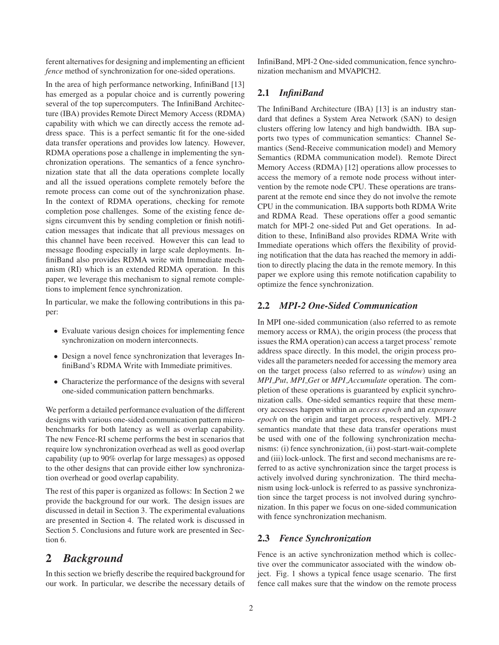ferent alternatives for designing and implementing an efficient *fence* method of synchronization for one-sided operations.

In the area of high performance networking, InfiniBand [13] has emerged as a popular choice and is currently powering several of the top supercomputers. The InfiniBand Architecture (IBA) provides Remote Direct Memory Access (RDMA) capability with which we can directly access the remote address space. This is a perfect semantic fit for the one-sided data transfer operations and provides low latency. However, RDMA operations pose a challenge in implementing the synchronization operations. The semantics of a fence synchronization state that all the data operations complete locally and all the issued operations complete remotely before the remote process can come out of the synchronization phase. In the context of RDMA operations, checking for remote completion pose challenges. Some of the existing fence designs circumvent this by sending completion or finish notification messages that indicate that all previous messages on this channel have been received. However this can lead to message flooding especially in large scale deployments. InfiniBand also provides RDMA write with Immediate mechanism (RI) which is an extended RDMA operation. In this paper, we leverage this mechanism to signal remote completions to implement fence synchronization.

In particular, we make the following contributions in this paper:

- Evaluate various design choices for implementing fence synchronization on modern interconnects.
- Design a novel fence synchronization that leverages InfiniBand's RDMA Write with Immediate primitives.
- Characterize the performance of the designs with several one-sided communication pattern benchmarks.

We perform a detailed performance evaluation of the different designs with various one-sided communication pattern microbenchmarks for both latency as well as overlap capability. The new Fence-RI scheme performs the best in scenarios that require low synchronization overhead as well as good overlap capability (up to 90% overlap for large messages) as opposed to the other designs that can provide either low synchronization overhead or good overlap capability.

The rest of this paper is organized as follows: In Section 2 we provide the background for our work. The design issues are discussed in detail in Section 3. The experimental evaluations are presented in Section 4. The related work is discussed in Section 5. Conclusions and future work are presented in Section 6.

# **2** *Background*

In this section we briefly describe the required background for our work. In particular, we describe the necessary details of InfiniBand, MPI-2 One-sided communication, fence synchronization mechanism and MVAPICH2.

### **2.1** *InfiniBand*

The InfiniBand Architecture (IBA) [13] is an industry standard that defines a System Area Network (SAN) to design clusters offering low latency and high bandwidth. IBA supports two types of communication semantics: Channel Semantics (Send-Receive communication model) and Memory Semantics (RDMA communication model). Remote Direct Memory Access (RDMA) [12] operations allow processes to access the memory of a remote node process without intervention by the remote node CPU. These operations are transparent at the remote end since they do not involve the remote CPU in the communication. IBA supports both RDMA Write and RDMA Read. These operations offer a good semantic match for MPI-2 one-sided Put and Get operations. In addition to these, InfiniBand also provides RDMA Write with Immediate operations which offers the flexibility of providing notification that the data has reached the memory in addition to directly placing the data in the remote memory. In this paper we explore using this remote notification capability to optimize the fence synchronization.

### **2.2** *MPI-2 One-Sided Communication*

In MPI one-sided communication (also referred to as remote memory access or RMA), the origin process (the process that issues the RMA operation) can access a target process' remote address space directly. In this model, the origin process provides all the parameters needed for accessing the memory area on the target process (also referred to as *window*) using an *MPI Put*, *MPI Get* or *MPI Accumulate* operation. The completion of these operations is guaranteed by explicit synchronization calls. One-sided semantics require that these memory accesses happen within an *access epoch* and an *exposure epoch* on the origin and target process, respectively. MPI-2 semantics mandate that these data transfer operations must be used with one of the following synchronization mechanisms: (i) fence synchronization, (ii) post-start-wait-complete and (iii) lock-unlock. The first and second mechanisms are referred to as active synchronization since the target process is actively involved during synchronization. The third mechanism using lock-unlock is referred to as passive synchronization since the target process is not involved during synchronization. In this paper we focus on one-sided communication with fence synchronization mechanism.

### **2.3** *Fence Synchronization*

Fence is an active synchronization method which is collective over the communicator associated with the window object. Fig. 1 shows a typical fence usage scenario. The first fence call makes sure that the window on the remote process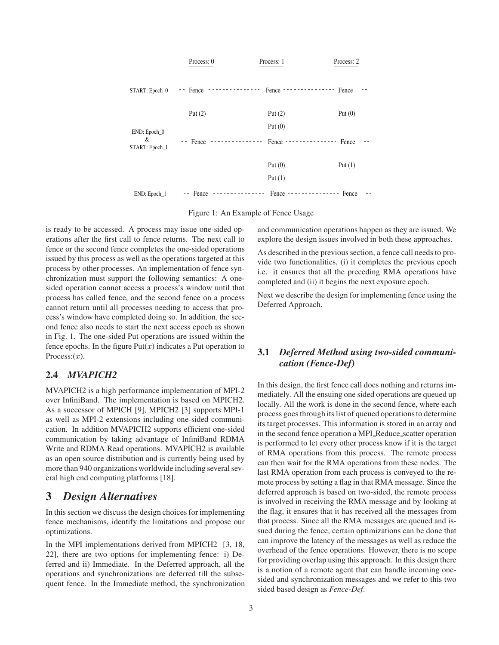

|  | Figure 1: An Example of Fence Usage |  |  |
|--|-------------------------------------|--|--|
|--|-------------------------------------|--|--|

is ready to be accessed. A process may issue one-sided operations after the first call to fence returns. The next call to fence or the second fence completes the one-sided operations issued by this process as well as the operations targeted at this process by other processes. An implementation of fence synchronization must support the following semantics: A onesided operation cannot access a process's window until that process has called fence, and the second fence on a process cannot return until all processes needing to access that process's window have completed doing so. In addition, the second fence also needs to start the next access epoch as shown in Fig. 1. The one-sided Put operations are issued within the fence epochs. In the figure  $Put(x)$  indicates a Put operation to Process: $(x)$ .

### **2.4** *MVAPICH2*

MVAPICH2 is a high performance implementation of MPI-2 over InfiniBand. The implementation is based on MPICH2. As a successor of MPICH [9], MPICH2 [3] supports MPI-1 as well as MPI-2 extensions including one-sided communication. In addition MVAPICH2 supports efficient one-sided communication by taking advantage of InfiniBand RDMA Write and RDMA Read operations. MVAPICH2 is available as an open source distribution and is currently being used by more than 940 organizations worldwide including several several high end computing platforms [18].

### **3** *Design Alternatives*

In this section we discuss the design choices for implementing fence mechanisms, identify the limitations and propose our optimizations.

In the MPI implementations derived from MPICH2 [3, 18, 22], there are two options for implementing fence: i) Deferred and ii) Immediate. In the Deferred approach, all the operations and synchronizations are deferred till the subsequent fence. In the Immediate method, the synchronization and communication operations happen as they are issued. We explore the design issues involved in both these approaches.

As described in the previous section, a fence call needs to provide two functionalities, (i) it completes the previous epoch i.e. it ensures that all the preceding RMA operations have completed and (ii) it begins the next exposure epoch.

Next we describe the design for implementing fence using the Deferred Approach.

### **3.1** *Deferred Method using two-sided communication (Fence-Def)*

In this design, the first fence call does nothing and returns immediately. All the ensuing one sided operations are queued up locally. All the work is done in the second fence, where each process goes through its list of queued operations to determine its target processes. This information is stored in an array and in the second fence operation a MPI Reduce scatter operation is performed to let every other process know if it is the target of RMA operations from this process. The remote process can then wait for the RMA operations from these nodes. The last RMA operation from each process is conveyed to the remote process by setting a flag in that RMA message. Since the deferred approach is based on two-sided, the remote process is involved in receiving the RMA message and by looking at the flag, it ensures that it has received all the messages from that process. Since all the RMA messages are queued and issued during the fence, certain optimizations can be done that can improve the latency of the messages as well as reduce the overhead of the fence operations. However, there is no scope for providing overlap using this approach. In this design there is a notion of a remote agent that can handle incoming onesided and synchronization messages and we refer to this two sided based design as *Fence-Def*.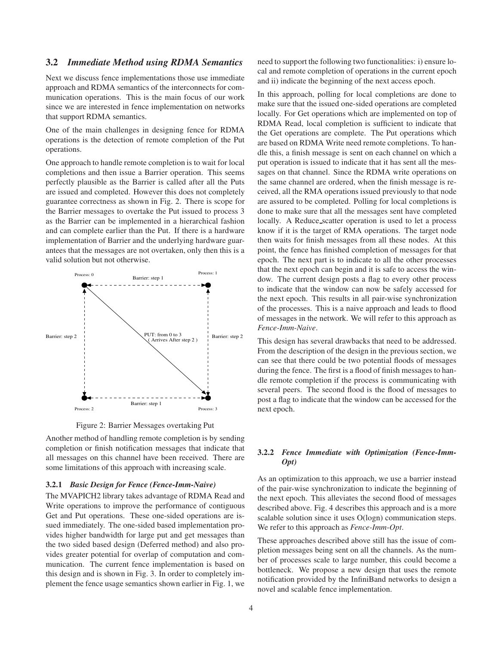### **3.2** *Immediate Method using RDMA Semantics*

Next we discuss fence implementations those use immediate approach and RDMA semantics of the interconnects for communication operations. This is the main focus of our work since we are interested in fence implementation on networks that support RDMA semantics.

One of the main challenges in designing fence for RDMA operations is the detection of remote completion of the Put operations.

One approach to handle remote completion is to wait for local completions and then issue a Barrier operation. This seems perfectly plausible as the Barrier is called after all the Puts are issued and completed. However this does not completely guarantee correctness as shown in Fig. 2. There is scope for the Barrier messages to overtake the Put issued to process 3 as the Barrier can be implemented in a hierarchical fashion and can complete earlier than the Put. If there is a hardware implementation of Barrier and the underlying hardware guarantees that the messages are not overtaken, only then this is a valid solution but not otherwise.



Figure 2: Barrier Messages overtaking Put

Another method of handling remote completion is by sending completion or finish notification messages that indicate that all messages on this channel have been received. There are some limitations of this approach with increasing scale.

#### **3.2.1** *Basic Design for Fence (Fence-Imm-Naive)*

The MVAPICH2 library takes advantage of RDMA Read and Write operations to improve the performance of contiguous Get and Put operations. These one-sided operations are issued immediately. The one-sided based implementation provides higher bandwidth for large put and get messages than the two sided based design (Deferred method) and also provides greater potential for overlap of computation and communication. The current fence implementation is based on this design and is shown in Fig. 3. In order to completely implement the fence usage semantics shown earlier in Fig. 1, we need to support the following two functionalities: i) ensure local and remote completion of operations in the current epoch and ii) indicate the beginning of the next access epoch.

In this approach, polling for local completions are done to make sure that the issued one-sided operations are completed locally. For Get operations which are implemented on top of RDMA Read, local completion is sufficient to indicate that the Get operations are complete. The Put operations which are based on RDMA Write need remote completions. To handle this, a finish message is sent on each channel on which a put operation is issued to indicate that it has sent all the messages on that channel. Since the RDMA write operations on the same channel are ordered, when the finish message is received, all the RMA operations issued previously to that node are assured to be completed. Polling for local completions is done to make sure that all the messages sent have completed locally. A Reduce scatter operation is used to let a process know if it is the target of RMA operations. The target node then waits for finish messages from all these nodes. At this point, the fence has finished completion of messages for that epoch. The next part is to indicate to all the other processes that the next epoch can begin and it is safe to access the window. The current design posts a flag to every other process to indicate that the window can now be safely accessed for the next epoch. This results in all pair-wise synchronization of the processes. This is a naive approach and leads to flood of messages in the network. We will refer to this approach as *Fence-Imm-Naive*.

This design has several drawbacks that need to be addressed. From the description of the design in the previous section, we can see that there could be two potential floods of messages during the fence. The first is a flood of finish messages to handle remote completion if the process is communicating with several peers. The second flood is the flood of messages to post a flag to indicate that the window can be accessed for the next epoch.

#### **3.2.2** *Fence Immediate with Optimization (Fence-Imm-Opt)*

As an optimization to this approach, we use a barrier instead of the pair-wise synchronization to indicate the beginning of the next epoch. This alleviates the second flood of messages described above. Fig. 4 describes this approach and is a more scalable solution since it uses O(logn) communication steps. We refer to this approach as *Fence-Imm-Opt*.

These approaches described above still has the issue of completion messages being sent on all the channels. As the number of processes scale to large number, this could become a bottleneck. We propose a new design that uses the remote notification provided by the InfiniBand networks to design a novel and scalable fence implementation.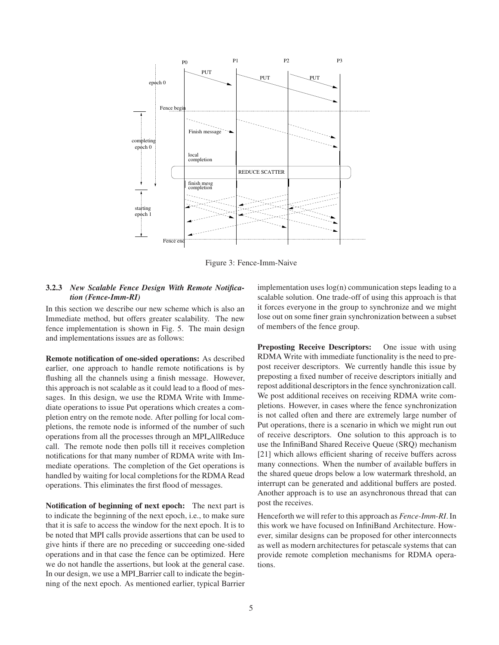

Figure 3: Fence-Imm-Naive

#### **3.2.3** *New Scalable Fence Design With Remote Notification (Fence-Imm-RI)*

In this section we describe our new scheme which is also an Immediate method, but offers greater scalability. The new fence implementation is shown in Fig. 5. The main design and implementations issues are as follows:

**Remote notification of one-sided operations:** As described earlier, one approach to handle remote notifications is by flushing all the channels using a finish message. However, this approach is not scalable as it could lead to a flood of messages. In this design, we use the RDMA Write with Immediate operations to issue Put operations which creates a completion entry on the remote node. After polling for local completions, the remote node is informed of the number of such operations from all the processes through an MPI AllReduce call. The remote node then polls till it receives completion notifications for that many number of RDMA write with Immediate operations. The completion of the Get operations is handled by waiting for local completions for the RDMA Read operations. This eliminates the first flood of messages.

**Notification of beginning of next epoch:** The next part is to indicate the beginning of the next epoch, i.e., to make sure that it is safe to access the window for the next epoch. It is to be noted that MPI calls provide assertions that can be used to give hints if there are no preceding or succeeding one-sided operations and in that case the fence can be optimized. Here we do not handle the assertions, but look at the general case. In our design, we use a MPI Barrier call to indicate the beginning of the next epoch. As mentioned earlier, typical Barrier implementation uses  $log(n)$  communication steps leading to a scalable solution. One trade-off of using this approach is that it forces everyone in the group to synchronize and we might lose out on some finer grain synchronization between a subset of members of the fence group.

**Preposting Receive Descriptors:** One issue with using RDMA Write with immediate functionality is the need to prepost receiver descriptors. We currently handle this issue by preposting a fixed number of receive descriptors initially and repost additional descriptors in the fence synchronization call. We post additional receives on receiving RDMA write completions. However, in cases where the fence synchronization is not called often and there are extremely large number of Put operations, there is a scenario in which we might run out of receive descriptors. One solution to this approach is to use the InfiniBand Shared Receive Queue (SRQ) mechanism [21] which allows efficient sharing of receive buffers across many connections. When the number of available buffers in the shared queue drops below a low watermark threshold, an interrupt can be generated and additional buffers are posted. Another approach is to use an asynchronous thread that can post the receives.

Henceforth we will refer to this approach as *Fence-Imm-RI*. In this work we have focused on InfiniBand Architecture. However, similar designs can be proposed for other interconnects as well as modern architectures for petascale systems that can provide remote completion mechanisms for RDMA operations.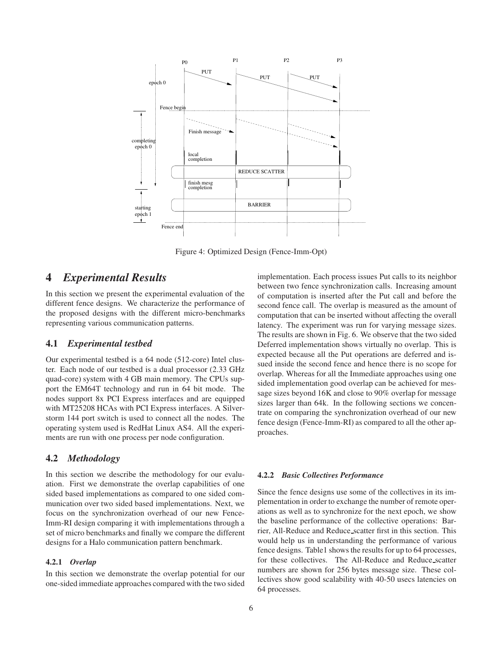

Figure 4: Optimized Design (Fence-Imm-Opt)

### **4** *Experimental Results*

In this section we present the experimental evaluation of the different fence designs. We characterize the performance of the proposed designs with the different micro-benchmarks representing various communication patterns.

#### **4.1** *Experimental testbed*

Our experimental testbed is a 64 node (512-core) Intel cluster. Each node of our testbed is a dual processor (2.33 GHz quad-core) system with 4 GB main memory. The CPUs support the EM64T technology and run in 64 bit mode. The nodes support 8x PCI Express interfaces and are equipped with MT25208 HCAs with PCI Express interfaces. A Silverstorm 144 port switch is used to connect all the nodes. The operating system used is RedHat Linux AS4. All the experiments are run with one process per node configuration.

#### **4.2** *Methodology*

In this section we describe the methodology for our evaluation. First we demonstrate the overlap capabilities of one sided based implementations as compared to one sided communication over two sided based implementations. Next, we focus on the synchronization overhead of our new Fence-Imm-RI design comparing it with implementations through a set of micro benchmarks and finally we compare the different designs for a Halo communication pattern benchmark.

#### **4.2.1** *Overlap*

In this section we demonstrate the overlap potential for our one-sided immediate approaches compared with the two sided implementation. Each process issues Put calls to its neighbor between two fence synchronization calls. Increasing amount of computation is inserted after the Put call and before the second fence call. The overlap is measured as the amount of computation that can be inserted without affecting the overall latency. The experiment was run for varying message sizes. The results are shown in Fig. 6. We observe that the two sided Deferred implementation shows virtually no overlap. This is expected because all the Put operations are deferred and issued inside the second fence and hence there is no scope for overlap. Whereas for all the Immediate approaches using one sided implementation good overlap can be achieved for message sizes beyond 16K and close to 90% overlap for message sizes larger than 64k. In the following sections we concentrate on comparing the synchronization overhead of our new fence design (Fence-Imm-RI) as compared to all the other approaches.

#### **4.2.2** *Basic Collectives Performance*

Since the fence designs use some of the collectives in its implementation in order to exchange the number of remote operations as well as to synchronize for the next epoch, we show the baseline performance of the collective operations: Barrier, All-Reduce and Reduce scatter first in this section. This would help us in understanding the performance of various fence designs. Table1 shows the results for up to 64 processes, for these collectives. The All-Reduce and Reduce scatter numbers are shown for 256 bytes message size. These collectives show good scalability with 40-50 usecs latencies on 64 processes.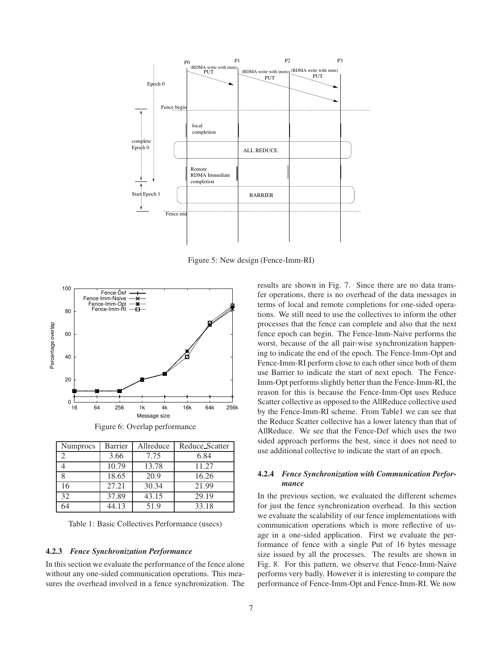

Figure 5: New design (Fence-Imm-RI)



| <b>Numprocs</b> | Barrier | Allreduce | Reduce_Scatter |
|-----------------|---------|-----------|----------------|
|                 | 3.66    | 7.75      | 6.84           |
|                 | 10.79   | 13.78     | 11.27          |
|                 | 18.65   | 20.9      | 16.26          |
| 16              | 27.21   | 30.34     | 21.99          |
| 32              | 37.89   | 43.15     | 29.19          |
|                 | 44.13   | 51.9      | 33.18          |

Table 1: Basic Collectives Performance (usecs)

#### **4.2.3** *Fence Synchronization Performance*

In this section we evaluate the performance of the fence alone without any one-sided communication operations. This measures the overhead involved in a fence synchronization. The results are shown in Fig. 7. Since there are no data transfer operations, there is no overhead of the data messages in terms of local and remote completions for one-sided operations. We still need to use the collectives to inform the other processes that the fence can complete and also that the next fence epoch can begin. The Fence-Imm-Naive performs the worst, because of the all pair-wise synchronization happening to indicate the end of the epoch. The Fence-Imm-Opt and Fence-Imm-RI perform close to each other since both of them use Barrier to indicate the start of next epoch. The Fence-Imm-Opt performs slightly better than the Fence-Imm-RI, the reason for this is because the Fence-Imm-Opt uses Reduce Scatter collective as opposed to the AllReduce collective used by the Fence-Imm-RI scheme. From Table1 we can see that the Reduce Scatter collective has a lower latency than that of AllReduce. We see that the Fence-Def which uses the two sided approach performs the best, since it does not need to use additional collective to indicate the start of an epoch.

#### **4.2.4** *Fence Synchronization with Communication Performance*

In the previous section, we evaluated the different schemes for just the fence synchronization overhead. In this section we evaluate the scalability of our fence implementations with communication operations which is more reflective of usage in a one-sided application. First we evaluate the performance of fence with a single Put of 16 bytes message size issued by all the processes. The results are shown in Fig. 8. For this pattern, we observe that Fence-Imm-Naive performs very badly. However it is interesting to compare the performance of Fence-Imm-Opt and Fence-Imm-RI. We now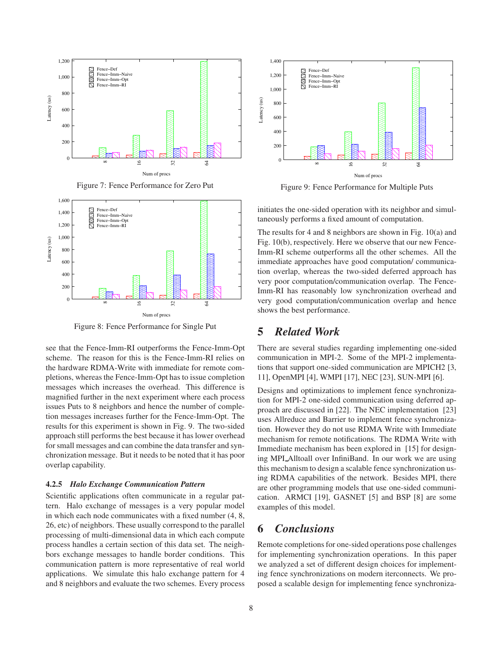

Figure 7: Fence Performance for Zero Put



Figure 8: Fence Performance for Single Put

see that the Fence-Imm-RI outperforms the Fence-Imm-Opt scheme. The reason for this is the Fence-Imm-RI relies on the hardware RDMA-Write with immediate for remote completions, whereas the Fence-Imm-Opt has to issue completion messages which increases the overhead. This difference is magnified further in the next experiment where each process issues Puts to 8 neighbors and hence the number of completion messages increases further for the Fence-Imm-Opt. The results for this experiment is shown in Fig. 9. The two-sided approach still performs the best because it has lower overhead for small messages and can combine the data transfer and synchronization message. But it needs to be noted that it has poor overlap capability.

#### **4.2.5** *Halo Exchange Communication Pattern*

Scientific applications often communicate in a regular pattern. Halo exchange of messages is a very popular model in which each node communicates with a fixed number (4, 8, 26, etc) of neighbors. These usually correspond to the parallel processing of multi-dimensional data in which each compute process handles a certain section of this data set. The neighbors exchange messages to handle border conditions. This communication pattern is more representative of real world applications. We simulate this halo exchange pattern for 4 and 8 neighbors and evaluate the two schemes. Every process



Figure 9: Fence Performance for Multiple Puts

initiates the one-sided operation with its neighbor and simultaneously performs a fixed amount of computation.

The results for 4 and 8 neighbors are shown in Fig. 10(a) and Fig. 10(b), respectively. Here we observe that our new Fence-Imm-RI scheme outperforms all the other schemes. All the immediate approaches have good computation/ communication overlap, whereas the two-sided deferred approach has very poor computation/communication overlap. The Fence-Imm-RI has reasonably low synchronization overhead and very good computation/communication overlap and hence shows the best performance.

# **5** *Related Work*

There are several studies regarding implementing one-sided communication in MPI-2. Some of the MPI-2 implementations that support one-sided communication are MPICH2 [3, 11], OpenMPI [4], WMPI [17], NEC [23], SUN-MPI [6].

Designs and optimizations to implement fence synchronization for MPI-2 one-sided communication using deferred approach are discussed in [22]. The NEC implementation [23] uses Allreduce and Barrier to implement fence synchronization. However they do not use RDMA Write with Immediate mechanism for remote notifications. The RDMA Write with Immediate mechanism has been explored in [15] for designing MPI Alltoall over InfiniBand. In our work we are using this mechanism to design a scalable fence synchronization using RDMA capabilities of the network. Besides MPI, there are other programming models that use one-sided communication. ARMCI [19], GASNET [5] and BSP [8] are some examples of this model.

# **6** *Conclusions*

Remote completions for one-sided operations pose challenges for implementing synchronization operations. In this paper we analyzed a set of different design choices for implementing fence synchronizations on modern iterconnects. We proposed a scalable design for implementing fence synchroniza-